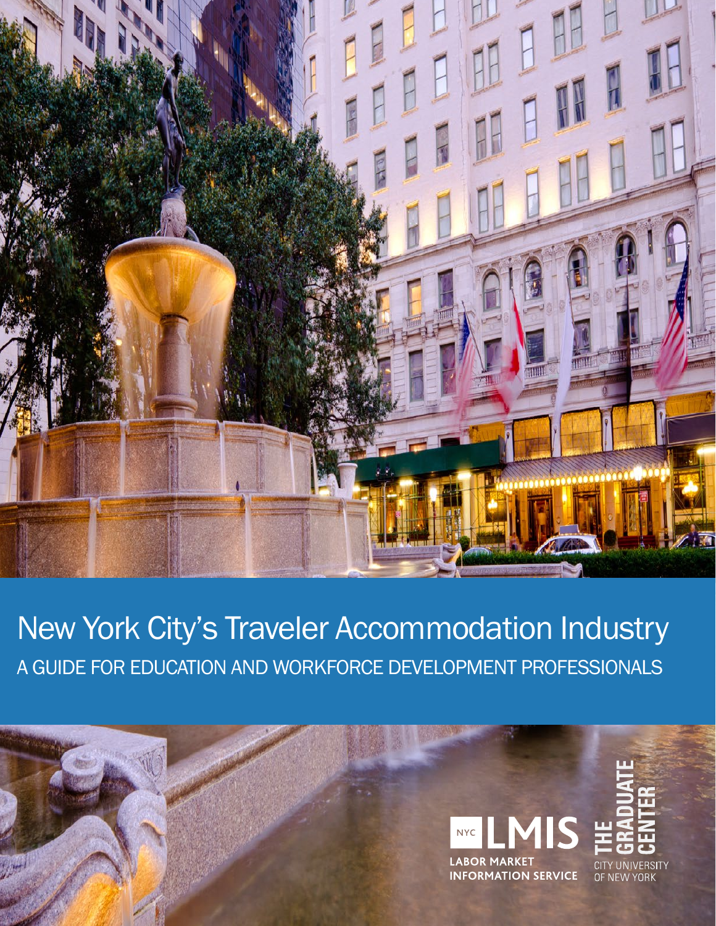

New York City's Traveler Accommodation Industry A GUIDE FOR EDUCATION AND WORKFORCE DEVELOPMENT PROFESSIONALS

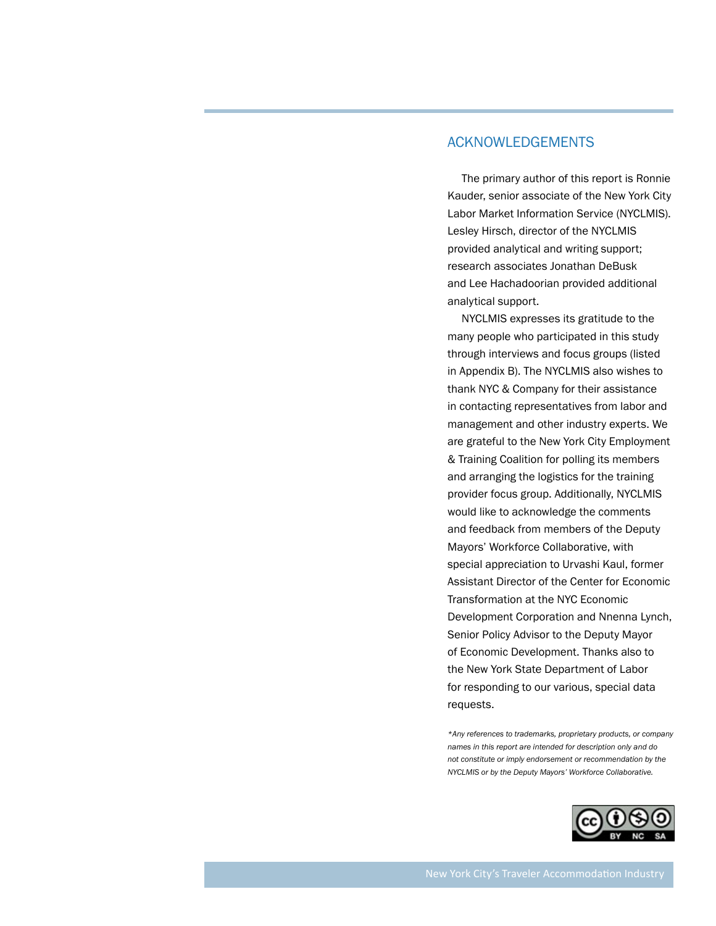### ACKNOWLEDGEMENTS

The primary author of this report is Ronnie Kauder, senior associate of the New York City Labor Market Information Service (NYCLMIS). Lesley Hirsch, director of the NYCLMIS provided analytical and writing support; research associates Jonathan DeBusk and Lee Hachadoorian provided additional analytical support.

NYCLMIS expresses its gratitude to the many people who participated in this study through interviews and focus groups (listed in Appendix B). The NYCLMIS also wishes to thank NYC & Company for their assistance in contacting representatives from labor and management and other industry experts. We are grateful to the New York City Employment & Training Coalition for polling its members and arranging the logistics for the training provider focus group. Additionally, NYCLMIS would like to acknowledge the comments and feedback from members of the Deputy Mayors' Workforce Collaborative, with special appreciation to Urvashi Kaul, former Assistant Director of the Center for Economic Transformation at the NYC Economic Development Corporation and Nnenna Lynch, Senior Policy Advisor to the Deputy Mayor of Economic Development. Thanks also to the New York State Department of Labor for responding to our various, special data requests.

*\*Any references to trademarks, proprietary products, or company names in this report are intended for description only and do not constitute or imply endorsement or recommendation by the NYCLMIS or by the Deputy Mayors' Workforce Collaborative.*

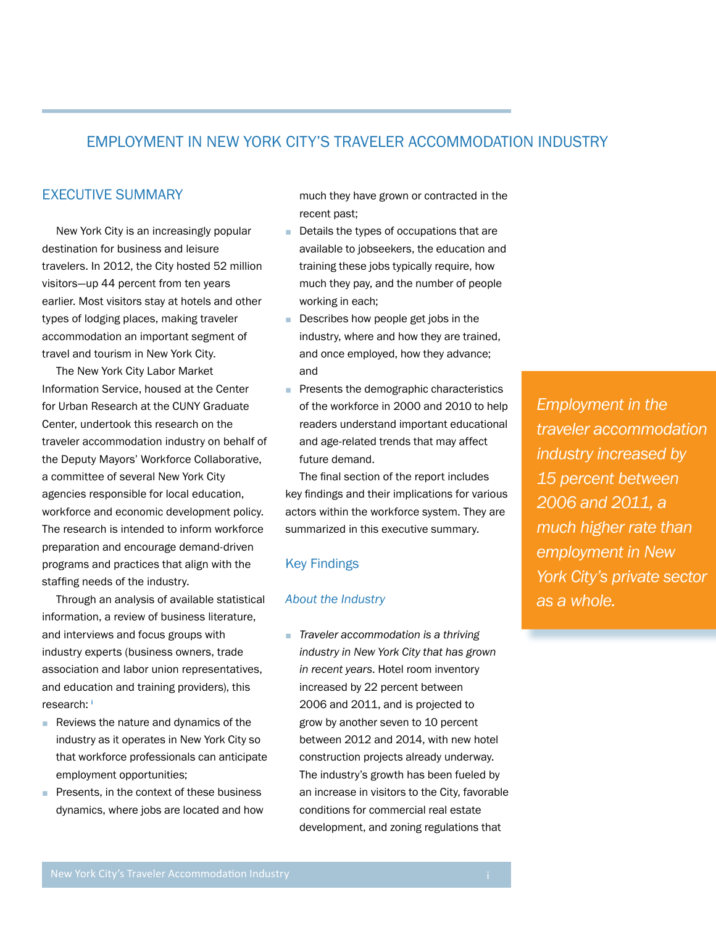# EMPLOYMENT IN NEW YORK CITY'S TRAVELER ACCOMMODATION INDUSTRY

### EXECUTIVE SUMMARY

New York City is an increasingly popular destination for business and leisure travelers. In 2012, the City hosted 52 million visitors—up 44 percent from ten years earlier. Most visitors stay at hotels and other types of lodging places, making traveler accommodation an important segment of travel and tourism in New York City.

The New York City Labor Market Information Service, housed at the Center for Urban Research at the CUNY Graduate Center, undertook this research on the traveler accommodation industry on behalf of the Deputy Mayors' Workforce Collaborative, a committee of several New York City agencies responsible for local education, workforce and economic development policy. The research is intended to inform workforce preparation and encourage demand-driven programs and practices that align with the staffing needs of the industry.

Through an analysis of available statistical information, a review of business literature, and interviews and focus groups with industry experts (business owners, trade association and labor union representatives, and education and training providers), this research: **<sup>i</sup>**

- Reviews the nature and dynamics of the industry as it operates in New York City so that workforce professionals can anticipate employment opportunities;
- Presents, in the context of these business dynamics, where jobs are located and how

much they have grown or contracted in the recent past;

- Details the types of occupations that are available to jobseekers, the education and training these jobs typically require, how much they pay, and the number of people working in each;
- Describes how people get jobs in the industry, where and how they are trained, and once employed, how they advance; and
- Presents the demographic characteristics of the workforce in 2000 and 2010 to help readers understand important educational and age-related trends that may affect future demand.

The final section of the report includes key findings and their implications for various actors within the workforce system. They are summarized in this executive summary.

#### Key Findings

#### *About the Industry*

■ *Traveler accommodation is a thriving industry in New York City that has grown in recent years*. Hotel room inventory increased by 22 percent between 2006 and 2011, and is projected to grow by another seven to 10 percent between 2012 and 2014, with new hotel construction projects already underway. The industry's growth has been fueled by an increase in visitors to the City, favorable conditions for commercial real estate development, and zoning regulations that

*Employment in the traveler accommodation industry increased by 15 percent between 2006 and 2011, a much higher rate than employment in New York City's private sector as a whole.*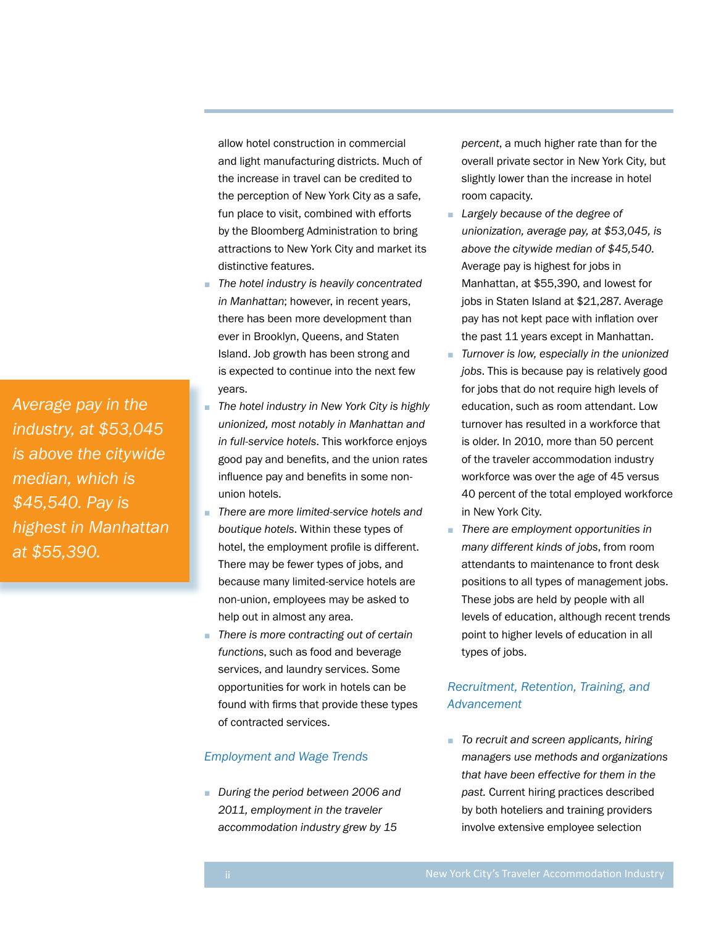*Average pay in the industry, at \$53,045 is above the citywide median, which is \$45,540. Pay is highest in Manhattan at \$55,390.*

allow hotel construction in commercial and light manufacturing districts. Much of the increase in travel can be credited to the perception of New York City as a safe, fun place to visit, combined with efforts by the Bloomberg Administration to bring attractions to New York City and market its distinctive features.

- *The hotel industry is heavily concentrated in Manhattan*; however, in recent years, there has been more development than ever in Brooklyn, Queens, and Staten Island. Job growth has been strong and is expected to continue into the next few years.
- *The hotel industry in New York City is highly unionized, most notably in Manhattan and in full-service hotels*. This workforce enjoys good pay and benefits, and the union rates influence pay and benefits in some nonunion hotels.
- *There are more limited-service hotels and boutique hotels*. Within these types of hotel, the employment profile is different. There may be fewer types of jobs, and because many limited-service hotels are non-union, employees may be asked to help out in almost any area.
- *There is more contracting out of certain functions*, such as food and beverage services, and laundry services. Some opportunities for work in hotels can be found with firms that provide these types of contracted services.

#### *Employment and Wage Trends*

■ *During the period between 2006 and 2011, employment in the traveler accommodation industry grew by 15* 

*percent*, a much higher rate than for the overall private sector in New York City, but slightly lower than the increase in hotel room capacity.

- *Largely because of the degree of unionization, average pay, at \$53,045, is above the citywide median of \$45,540*. Average pay is highest for jobs in Manhattan, at \$55,390, and lowest for jobs in Staten Island at \$21,287. Average pay has not kept pace with inflation over the past 11 years except in Manhattan.
- *Turnover is low, especially in the unionized jobs*. This is because pay is relatively good for jobs that do not require high levels of education, such as room attendant. Low turnover has resulted in a workforce that is older. In 2010, more than 50 percent of the traveler accommodation industry workforce was over the age of 45 versus 40 percent of the total employed workforce in New York City.
- *There are employment opportunities in many different kinds of jobs*, from room attendants to maintenance to front desk positions to all types of management jobs. These jobs are held by people with all levels of education, although recent trends point to higher levels of education in all types of jobs.

### *Recruitment, Retention, Training, and Advancement*

■ *To recruit and screen applicants, hiring managers use methods and organizations that have been effective for them in the past.* Current hiring practices described by both hoteliers and training providers involve extensive employee selection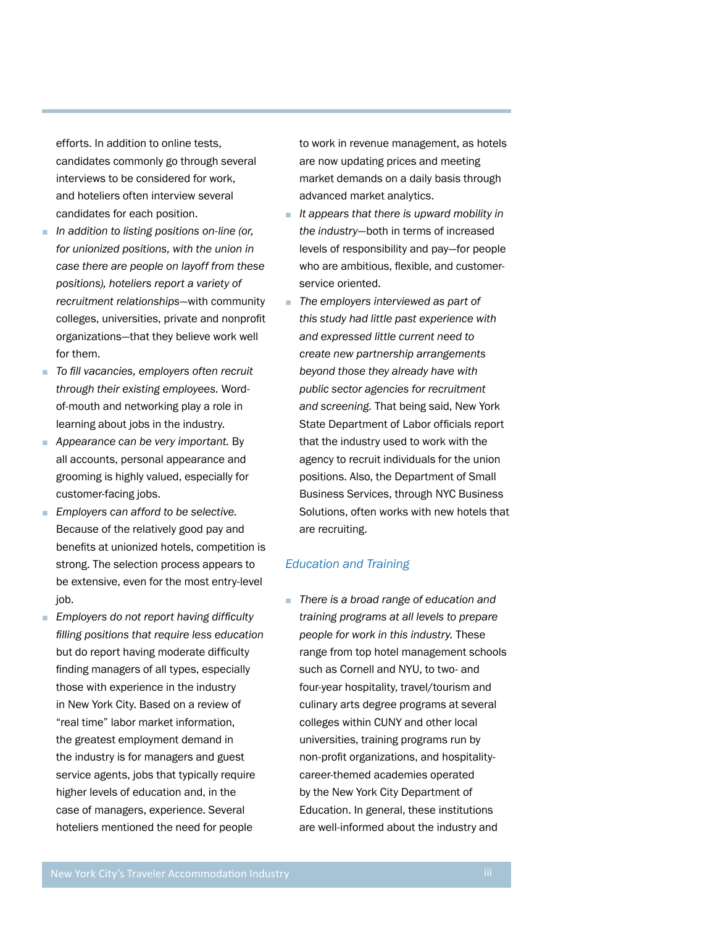efforts. In addition to online tests, candidates commonly go through several interviews to be considered for work, and hoteliers often interview several candidates for each position.

- *In addition to listing positions on-line (or, for unionized positions, with the union in case there are people on layoff from these positions), hoteliers report a variety of recruitment relationships*—with community colleges, universities, private and nonprofit organizations—that they believe work well for them.
- *To fill vacancies, employers often recruit through their existing employees.* Wordof-mouth and networking play a role in learning about jobs in the industry.
- *Appearance can be very important.* By all accounts, personal appearance and grooming is highly valued, especially for customer-facing jobs.
- *Employers can afford to be selective.* Because of the relatively good pay and benefits at unionized hotels, competition is strong. The selection process appears to be extensive, even for the most entry-level job.
- *Employers do not report having difficulty filling positions that require less education*  but do report having moderate difficulty finding managers of all types, especially those with experience in the industry in New York City. Based on a review of "real time" labor market information, the greatest employment demand in the industry is for managers and guest service agents, jobs that typically require higher levels of education and, in the case of managers, experience. Several hoteliers mentioned the need for people

to work in revenue management, as hotels are now updating prices and meeting market demands on a daily basis through advanced market analytics.

- *It appears that there is upward mobility in the industry*—both in terms of increased levels of responsibility and pay—for people who are ambitious, flexible, and customerservice oriented.
- *The employers interviewed as part of this study had little past experience with and expressed little current need to create new partnership arrangements beyond those they already have with public sector agencies for recruitment and screening.* That being said, New York State Department of Labor officials report that the industry used to work with the agency to recruit individuals for the union positions. Also, the Department of Small Business Services, through NYC Business Solutions, often works with new hotels that are recruiting.

#### *Education and Training*

■ *There is a broad range of education and training programs at all levels to prepare people for work in this industry.* These range from top hotel management schools such as Cornell and NYU, to two- and four-year hospitality, travel/tourism and culinary arts degree programs at several colleges within CUNY and other local universities, training programs run by non-profit organizations, and hospitalitycareer-themed academies operated by the New York City Department of Education. In general, these institutions are well-informed about the industry and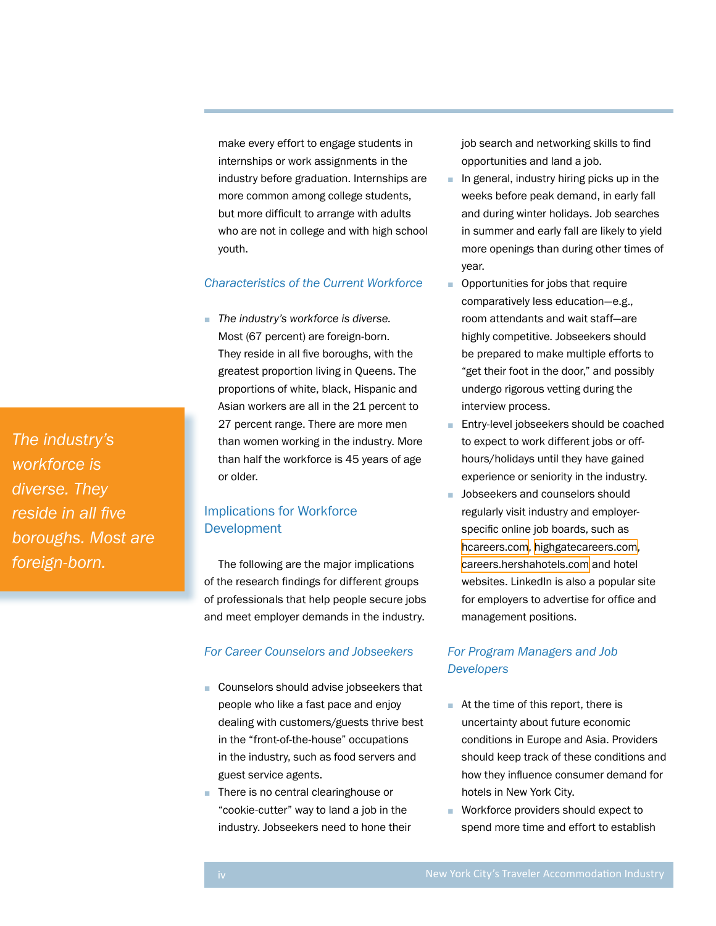make every effort to engage students in internships or work assignments in the industry before graduation. Internships are more common among college students, but more difficult to arrange with adults who are not in college and with high school youth.

### *Characteristics of the Current Workforce*

■ *The industry's workforce is diverse.* Most (67 percent) are foreign-born. They reside in all five boroughs, with the greatest proportion living in Queens. The proportions of white, black, Hispanic and Asian workers are all in the 21 percent to 27 percent range. There are more men than women working in the industry. More than half the workforce is 45 years of age or older.

# Implications for Workforce **Development**

The following are the major implications of the research findings for different groups of professionals that help people secure jobs and meet employer demands in the industry.

### *For Career Counselors and Jobseekers*

- Counselors should advise jobseekers that people who like a fast pace and enjoy dealing with customers/guests thrive best in the "front-of-the-house" occupations in the industry, such as food servers and guest service agents.
- There is no central clearinghouse or "cookie-cutter" way to land a job in the industry. Jobseekers need to hone their

job search and networking skills to find opportunities and land a job.

- In general, industry hiring picks up in the weeks before peak demand, in early fall and during winter holidays. Job searches in summer and early fall are likely to yield more openings than during other times of year.
- Opportunities for jobs that require comparatively less education—e.g., room attendants and wait staff—are highly competitive. Jobseekers should be prepared to make multiple efforts to "get their foot in the door," and possibly undergo rigorous vetting during the interview process.
- Entry-level jobseekers should be coached to expect to work different jobs or offhours/holidays until they have gained experience or seniority in the industry.
- Jobseekers and counselors should regularly visit industry and employerspecific online job boards, such as [hcareers.com](http://hcareers.com), [highgatecareers.com](http://highgatecareers.com), [careers.hershahotels.com](http://careers.hershahotels.com) and hotel websites. LinkedIn is also a popular site for employers to advertise for office and management positions.

# *For Program Managers and Job Developers*

- At the time of this report, there is uncertainty about future economic conditions in Europe and Asia. Providers should keep track of these conditions and how they influence consumer demand for hotels in New York City.
- Workforce providers should expect to spend more time and effort to establish

*The industry's workforce is diverse. They reside in all five boroughs. Most are foreign-born.*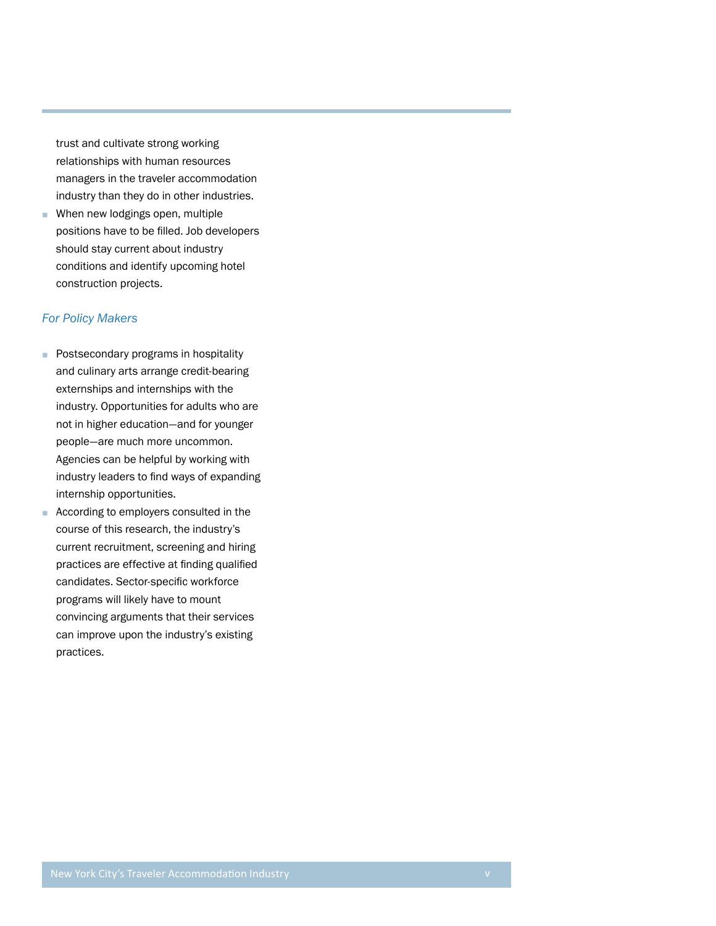trust and cultivate strong working relationships with human resources managers in the traveler accommodation industry than they do in other industries.

■ When new lodgings open, multiple positions have to be filled. Job developers should stay current about industry conditions and identify upcoming hotel construction projects.

#### *For Policy Makers*

- Postsecondary programs in hospitality and culinary arts arrange credit-bearing externships and internships with the industry. Opportunities for adults who are not in higher education—and for younger people—are much more uncommon. Agencies can be helpful by working with industry leaders to find ways of expanding internship opportunities.
- According to employers consulted in the course of this research, the industry's current recruitment, screening and hiring practices are effective at finding qualified candidates. Sector-specific workforce programs will likely have to mount convincing arguments that their services can improve upon the industry's existing practices.